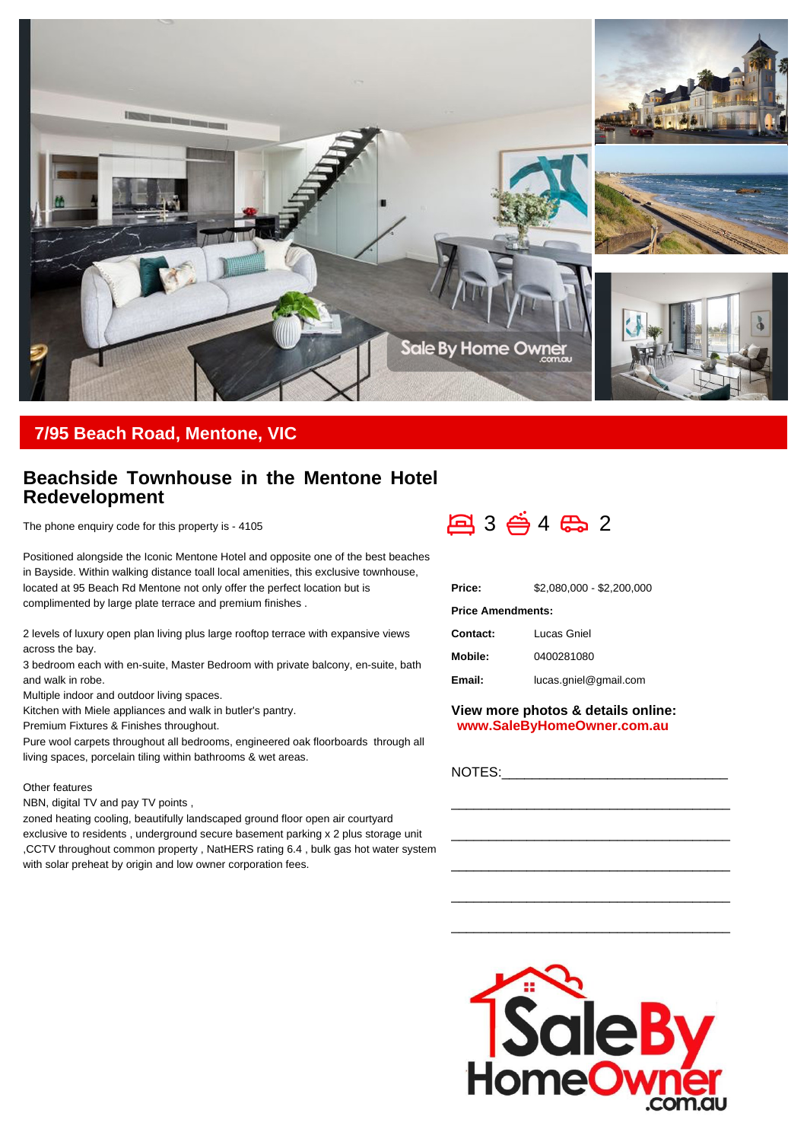

## **7/95 Beach Road, Mentone, VIC**

## **Beachside Townhouse in the Mentone Hotel Redevelopment**

The phone enquiry code for this property is - 4105

Positioned alongside the Iconic Mentone Hotel and opposite one of the best beaches in Bayside. Within walking distance toall local amenities, this exclusive townhouse, located at 95 Beach Rd Mentone not only offer the perfect location but is complimented by large plate terrace and premium finishes .

2 levels of luxury open plan living plus large rooftop terrace with expansive views across the bay.

3 bedroom each with en-suite, Master Bedroom with private balcony, en-suite, bath and walk in robe.

Multiple indoor and outdoor living spaces.

Kitchen with Miele appliances and walk in butler's pantry.

Premium Fixtures & Finishes throughout.

Pure wool carpets throughout all bedrooms, engineered oak floorboards through all living spaces, porcelain tiling within bathrooms & wet areas.

## Other features

NBN, digital TV and pay TV points ,

zoned heating cooling, beautifully landscaped ground floor open air courtyard exclusive to residents , underground secure basement parking x 2 plus storage unit ,CCTV throughout common property , NatHERS rating 6.4 , bulk gas hot water system with solar preheat by origin and low owner corporation fees.



| Price:                   | \$2.080.000 - \$2.200.000 |
|--------------------------|---------------------------|
| <b>Price Amendments:</b> |                           |
| Contact:                 | Lucas Gniel               |
| Mobile:                  | 0400281080                |
| Email:                   | lucas.gniel@gmail.com     |

**View more photos & details online: www.SaleByHomeOwner.com.au**

\_\_\_\_\_\_\_\_\_\_\_\_\_\_\_\_\_\_\_\_\_\_\_\_\_\_\_\_\_\_\_\_\_\_\_\_\_

\_\_\_\_\_\_\_\_\_\_\_\_\_\_\_\_\_\_\_\_\_\_\_\_\_\_\_\_\_\_\_\_\_\_\_\_\_

\_\_\_\_\_\_\_\_\_\_\_\_\_\_\_\_\_\_\_\_\_\_\_\_\_\_\_\_\_\_\_\_\_\_\_\_\_

\_\_\_\_\_\_\_\_\_\_\_\_\_\_\_\_\_\_\_\_\_\_\_\_\_\_\_\_\_\_\_\_\_\_\_\_\_

\_\_\_\_\_\_\_\_\_\_\_\_\_\_\_\_\_\_\_\_\_\_\_\_\_\_\_\_\_\_\_\_\_\_\_\_\_

NOTES: